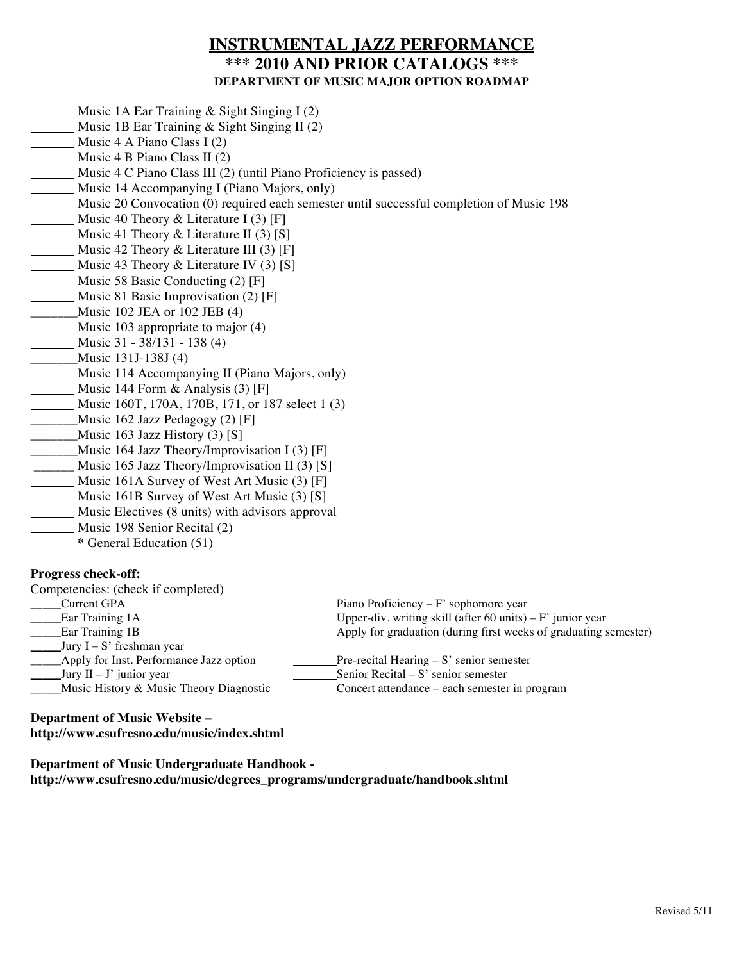# **INSTRUMENTAL JAZZ PERFORMANCE \*\*\* 2010 AND PRIOR CATALOGS \*\*\* DEPARTMENT OF MUSIC MAJOR OPTION ROADMAP**

- Music 1A Ear Training & Sight Singing I (2)
- Music 1B Ear Training & Sight Singing II (2)
- Music 4 A Piano Class I (2)
- **Music 4 B Piano Class II (2)**
- Music 4 C Piano Class III (2) (until Piano Proficiency is passed)
- Music 14 Accompanying I (Piano Majors, only)
- Music 20 Convocation (0) required each semester until successful completion of Music 198
- Music 40 Theory & Literature I (3) [F]
- Music 41 Theory & Literature II  $(3)$  [S]
- Music 42 Theory & Literature III (3) [F]
- Music 43 Theory & Literature IV (3) [S]
- **Music 58 Basic Conducting (2) [F]**
- Music 81 Basic Improvisation (2) [F]
- \_\_\_\_\_\_\_\_\_\_\_\_\_Music 102 JEA or 102 JEB (4)
- **Music 103 appropriate to major (4)**
- Music 31 38/131 138 (4)
- \_\_\_\_\_\_\_Music 131J-138J (4)
- Music 114 Accompanying II (Piano Majors, only)
- Music 144 Form  $\&$  Analysis (3) [F]
- Music 160T, 170A, 170B, 171, or 187 select 1 (3)
- \_\_\_\_\_\_\_\_Music 162 Jazz Pedagogy (2) [F]
- \_\_\_\_\_\_\_\_\_Music 163 Jazz History (3) [S]
- \_\_\_\_\_\_\_Music 164 Jazz Theory/Improvisation I (3) [F]
- \_\_\_\_\_\_ Music 165 Jazz Theory/Improvisation II (3) [S]
- Music 161A Survey of West Art Music (3) [F]
- Music 161B Survey of West Art Music (3) [S]
- **Music Electives (8 units) with advisors approval**
- Music 198 Senior Recital (2)
- **\*** General Education (51)

## **Progress check-off:**

| TTOELCO CHULLOUI.                                                                                                                                                                                                                                                                                                                                                                                                                   |                                                                  |
|-------------------------------------------------------------------------------------------------------------------------------------------------------------------------------------------------------------------------------------------------------------------------------------------------------------------------------------------------------------------------------------------------------------------------------------|------------------------------------------------------------------|
| Competencies: (check if completed)                                                                                                                                                                                                                                                                                                                                                                                                  |                                                                  |
| Current GPA                                                                                                                                                                                                                                                                                                                                                                                                                         | Piano Proficiency – $F'$ sophomore year                          |
| <b>Ear Training 1A</b>                                                                                                                                                                                                                                                                                                                                                                                                              | Upper-div. writing skill (after 60 units) – $F'$ junior year     |
| <b>Ear Training 1B</b>                                                                                                                                                                                                                                                                                                                                                                                                              | Apply for graduation (during first weeks of graduating semester) |
| $Jury I-S'$ freshman year                                                                                                                                                                                                                                                                                                                                                                                                           |                                                                  |
| Apply for Inst. Performance Jazz option                                                                                                                                                                                                                                                                                                                                                                                             | Pre-recital Hearing $- S'$ senior semester                       |
| $\frac{1}{\sqrt{1 - \frac{1}{\sqrt{1 - \frac{1}{\sqrt{1 - \frac{1}{\sqrt{1 - \frac{1}{\sqrt{1 - \frac{1}{\sqrt{1 - \frac{1}{\sqrt{1 - \frac{1}{\sqrt{1 - \frac{1}{\sqrt{1 + \frac{1}{\sqrt{1 + \frac{1}{\sqrt{1 + \frac{1}{\sqrt{1 + \frac{1}{\sqrt{1 + \frac{1}{\sqrt{1 + \frac{1}{\sqrt{1 + \frac{1}{\sqrt{1 + \frac{1}{\sqrt{1 + \frac{1}{\sqrt{1 + \frac{1}{\sqrt{1 + \frac{1}{\sqrt{1 + \frac{1}{\sqrt{1 + \frac{1}{\sqrt{1 +$ | Senior Recital $-S'$ senior semester                             |
| Music History & Music Theory Diagnostic                                                                                                                                                                                                                                                                                                                                                                                             | Concert attendance – each semester in program                    |

## **Department of Music Website – http://www.csufresno.edu/music/index.shtml**

**Department of Music Undergraduate Handbook http://www.csufresno.edu/music/degrees\_programs/undergraduate/handbook.shtml**